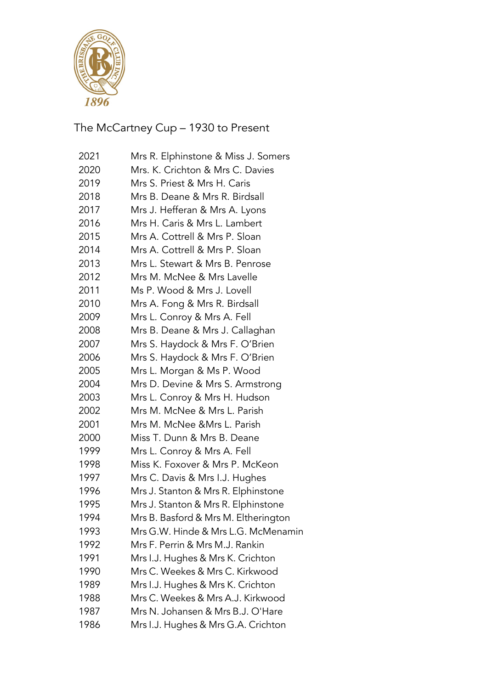

The McCartney Cup – 1930 to Present

| 2021 | Mrs R. Elphinstone & Miss J. Somers  |
|------|--------------------------------------|
| 2020 | Mrs. K. Crichton & Mrs C. Davies     |
| 2019 | Mrs S. Priest & Mrs H. Caris         |
| 2018 | Mrs B. Deane & Mrs R. Birdsall       |
| 2017 | Mrs J. Hefferan & Mrs A. Lyons       |
| 2016 | Mrs H. Caris & Mrs L. Lambert        |
| 2015 | Mrs A. Cottrell & Mrs P. Sloan       |
| 2014 | Mrs A. Cottrell & Mrs P. Sloan       |
| 2013 | Mrs L. Stewart & Mrs B. Penrose      |
| 2012 | Mrs M. McNee & Mrs Lavelle           |
| 2011 | Ms P. Wood & Mrs J. Lovell           |
| 2010 | Mrs A. Fong & Mrs R. Birdsall        |
| 2009 | Mrs L. Conroy & Mrs A. Fell          |
| 2008 | Mrs B. Deane & Mrs J. Callaghan      |
| 2007 | Mrs S. Haydock & Mrs F. O'Brien      |
| 2006 | Mrs S. Haydock & Mrs F. O'Brien      |
| 2005 | Mrs L. Morgan & Ms P. Wood           |
| 2004 | Mrs D. Devine & Mrs S. Armstrong     |
| 2003 | Mrs L. Conroy & Mrs H. Hudson        |
| 2002 | Mrs M. McNee & Mrs L. Parish         |
| 2001 | Mrs M. McNee &Mrs L. Parish          |
| 2000 | Miss T. Dunn & Mrs B. Deane          |
| 1999 | Mrs L. Conroy & Mrs A. Fell          |
| 1998 | Miss K. Foxover & Mrs P. McKeon      |
| 1997 | Mrs C. Davis & Mrs I.J. Hughes       |
| 1996 | Mrs J. Stanton & Mrs R. Elphinstone  |
| 1995 | Mrs J. Stanton & Mrs R. Elphinstone  |
| 1994 | Mrs B. Basford & Mrs M. Eltherington |
| 1993 | Mrs G.W. Hinde & Mrs L.G. McMenamin  |
| 1992 | Mrs F. Perrin & Mrs M.J. Rankin      |
| 1991 | Mrs I.J. Hughes & Mrs K. Crichton    |
| 1990 | Mrs C. Weekes & Mrs C. Kirkwood      |
| 1989 | Mrs I.J. Hughes & Mrs K. Crichton    |
| 1988 | Mrs C. Weekes & Mrs A.J. Kirkwood    |
| 1987 | Mrs N. Johansen & Mrs B.J. O'Hare    |
| 1986 | Mrs I.J. Hughes & Mrs G.A. Crichton  |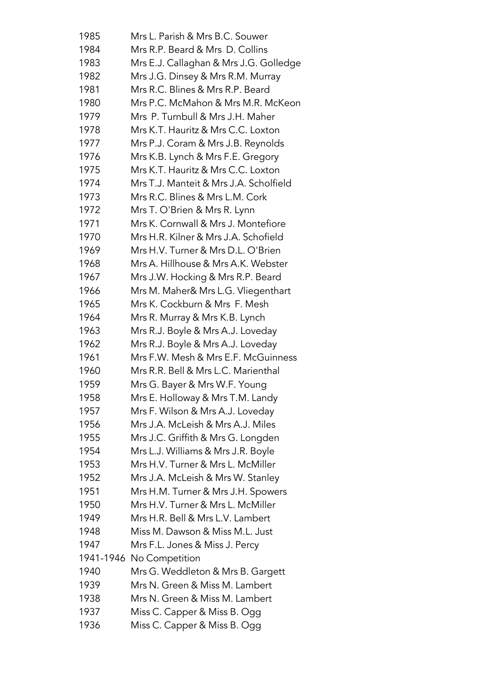| 1985      | Mrs L. Parish & Mrs B.C. Souwer        |
|-----------|----------------------------------------|
| 1984      | Mrs R.P. Beard & Mrs D. Collins        |
| 1983      | Mrs E.J. Callaghan & Mrs J.G. Golledge |
| 1982      | Mrs J.G. Dinsey & Mrs R.M. Murray      |
| 1981      | Mrs R.C. Blines & Mrs R.P. Beard       |
| 1980      | Mrs P.C. McMahon & Mrs M.R. McKeon     |
| 1979      | Mrs P. Turnbull & Mrs J.H. Maher       |
| 1978      | Mrs K.T. Hauritz & Mrs C.C. Loxton     |
| 1977      | Mrs P.J. Coram & Mrs J.B. Reynolds     |
| 1976      | Mrs K.B. Lynch & Mrs F.E. Gregory      |
| 1975      | Mrs K.T. Hauritz & Mrs C.C. Loxton     |
| 1974      | Mrs T.J. Manteit & Mrs J.A. Scholfield |
| 1973      | Mrs R.C. Blines & Mrs L.M. Cork        |
| 1972      | Mrs T. O'Brien & Mrs R. Lynn           |
| 1971      | Mrs K. Cornwall & Mrs J. Montefiore    |
| 1970      | Mrs H.R. Kilner & Mrs J.A. Schofield   |
| 1969      | Mrs H.V. Turner & Mrs D.L. O'Brien     |
| 1968      | Mrs A. Hillhouse & Mrs A.K. Webster    |
| 1967      | Mrs J.W. Hocking & Mrs R.P. Beard      |
| 1966      | Mrs M. Maher& Mrs L.G. Vliegenthart    |
| 1965      | Mrs K. Cockburn & Mrs F. Mesh          |
| 1964      | Mrs R. Murray & Mrs K.B. Lynch         |
| 1963      | Mrs R.J. Boyle & Mrs A.J. Loveday      |
| 1962      | Mrs R.J. Boyle & Mrs A.J. Loveday      |
| 1961      | Mrs F.W. Mesh & Mrs E.F. McGuinness    |
| 1960      | Mrs R.R. Bell & Mrs L.C. Marienthal    |
| 1959      | Mrs G. Bayer & Mrs W.F. Young          |
| 1958      | Mrs E. Holloway & Mrs T.M. Landy       |
| 1957      | Mrs F. Wilson & Mrs A.J. Loveday       |
| 1956      | Mrs J.A. McLeish & Mrs A.J. Miles      |
| 1955      | Mrs J.C. Griffith & Mrs G. Longden     |
| 1954      | Mrs L.J. Williams & Mrs J.R. Boyle     |
| 1953      | Mrs H.V. Turner & Mrs L. McMiller      |
| 1952      | Mrs J.A. McLeish & Mrs W. Stanley      |
| 1951      | Mrs H.M. Turner & Mrs J.H. Spowers     |
| 1950      | Mrs H.V. Turner & Mrs L. McMiller      |
| 1949      | Mrs H.R. Bell & Mrs L.V. Lambert       |
| 1948      | Miss M. Dawson & Miss M.L. Just        |
| 1947      | Mrs F.L. Jones & Miss J. Percy         |
| 1941-1946 | No Competition                         |
| 1940      | Mrs G. Weddleton & Mrs B. Gargett      |
| 1939      | Mrs N. Green & Miss M. Lambert         |
| 1938      | Mrs N. Green & Miss M. Lambert         |
| 1937      | Miss C. Capper & Miss B. Ogg           |
| 1936      | Miss C. Capper & Miss B. Ogg           |